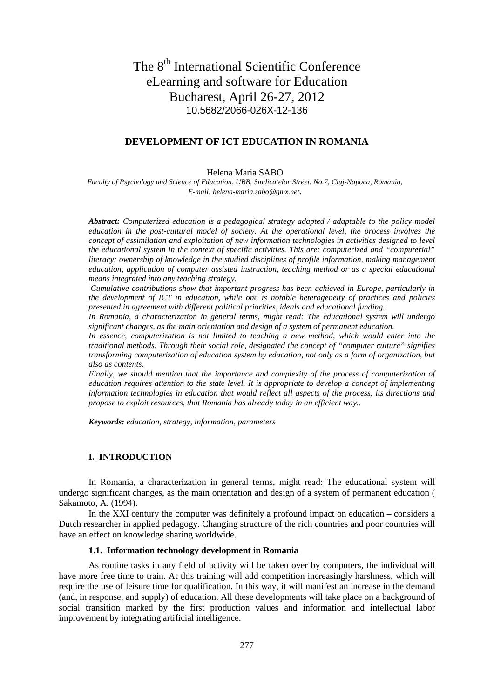# The 8<sup>th</sup> International Scientific Conference eLearning and software for Education Bucharest, April 26-27, 2012 10.5682/2066-026X-12-136

# **DEVELOPMENT OF ICT EDUCATION IN ROMANIA**

Helena Maria SABO

*Faculty of Psychology and Science of Education, UBB, Sindicatelor Street. No.7, Cluj-Napoca, Romania, E-mail: helena-maria.sabo@gmx.net.*

*Abstract: Computerized education is a pedagogical strategy adapted / adaptable to the policy model education in the post-cultural model of society. At the operational level, the process involves the concept of assimilation and exploitation of new information technologies in activities designed to level the educational system in the context of specific activities. This are: computerized and "computerial" literacy; ownership of knowledge in the studied disciplines of profile information, making management education, application of computer assisted instruction, teaching method or as a special educational means integrated into any teaching strategy.*

*Cumulative contributions show that important progress has been achieved in Europe, particularly in the development of ICT in education, while one is notable heterogeneity of practices and policies presented in agreement with different political priorities, ideals and educational funding.*

*In Romania, a characterization in general terms, might read: The educational system will undergo significant changes, as the main orientation and design of a system of permanent education.* 

*In essence, computerization is not limited to teaching a new method, which would enter into the traditional methods. Through their social role, designated the concept of "computer culture" signifies transforming computerization of education system by education, not only as a form of organization, but also as contents.*

*Finally, we should mention that the importance and complexity of the process of computerization of education requires attention to the state level. It is appropriate to develop a concept of implementing information technologies in education that would reflect all aspects of the process, its directions and propose to exploit resources, that Romania has already today in an efficient way..*

*Keywords: education, strategy, information, parameters*

#### **I. .INTRODUCTION**

In Romania, a characterization in general terms, might read: The educational system will undergo significant changes, as the main orientation and design of a system of permanent education ( Sakamoto, A. (1994).

In the XXI century the computer was definitely a profound impact on education – considers a Dutch researcher in applied pedagogy. Changing structure of the rich countries and poor countries will have an effect on knowledge sharing worldwide.

### **1.1. .Information technology development in Romania**

As routine tasks in any field of activity will be taken over by computers, the individual will have more free time to train. At this training will add competition increasingly harshness, which will require the use of leisure time for qualification. In this way, it will manifest an increase in the demand (and, in response, and supply) of education. All these developments will take place on a background of social transition marked by the first production values and information and intellectual labor improvement by integrating artificial intelligence.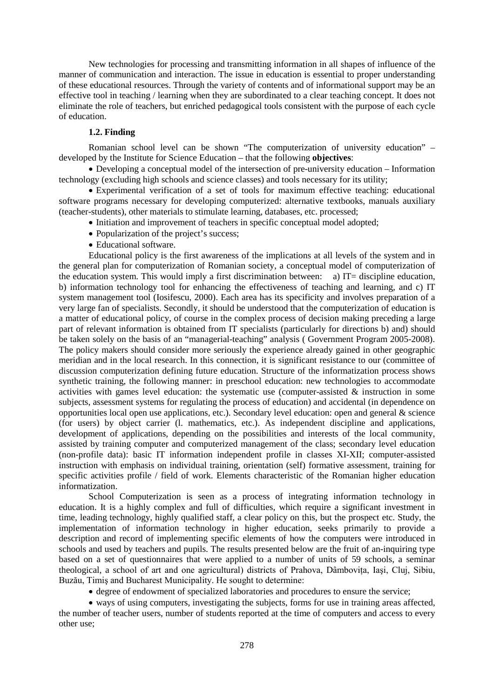New technologies for processing and transmitting information in all shapes of influence of the manner of communication and interaction. The issue in education is essential to proper understanding of these educational resources. Through the variety of contents and of informational support may be an effective tool in teaching / learning when they are subordinated to a clear teaching concept. It does not eliminate the role of teachers, but enriched pedagogical tools consistent with the purpose of each cycle of education.

## **1.2. Finding**

Romanian school level can be shown "The computerization of university education" – developed by the Institute for Science Education – that the following **objectives**:

• Developing a conceptual model of the intersection of pre-university education – Information technology (excluding high schools and science classes) and tools necessary for its utility;

• Experimental verification of a set of tools for maximum effective teaching: educational software programs necessary for developing computerized: alternative textbooks, manuals auxiliary (teacher-students), other materials to stimulate learning, databases, etc. processed;

- Initiation and improvement of teachers in specific conceptual model adopted;
- Popularization of the project's success;
- Educational software.

Educational policy is the first awareness of the implications at all levels of the system and in the general plan for computerization of Romanian society, a conceptual model of computerization of the education system. This would imply a first discrimination between: a) IT= discipline education, b) information technology tool for enhancing the effectiveness of teaching and learning, and c) IT system management tool (Iosifescu, 2000). Each area has its specificity and involves preparation of a very large fan of specialists. Secondly, it should be understood that the computerization of education is a matter of educational policy, of course in the complex process of decision making preceding a large part of relevant information is obtained from IT specialists (particularly for directions b) and) should be taken solely on the basis of an "managerial-teaching" analysis ( Government Program 2005-2008). The policy makers should consider more seriously the experience already gained in other geographic meridian and in the local research. In this connection, it is significant resistance to our (committee of discussion computerization defining future education. Structure of the informatization process shows synthetic training, the following manner: in preschool education: new technologies to accommodate activities with games level education: the systematic use (computer-assisted & instruction in some subjects, assessment systems for regulating the process of education) and accidental (in dependence on opportunities local open use applications, etc.). Secondary level education: open and general & science (for users) by object carrier (l. mathematics, etc.). As independent discipline and applications, development of applications, depending on the possibilities and interests of the local community, assisted by training computer and computerized management of the class; secondary level education (non-profile data): basic IT information independent profile in classes XI-XII; computer-assisted instruction with emphasis on individual training, orientation (self) formative assessment, training for specific activities profile / field of work. Elements characteristic of the Romanian higher education informatization.

School Computerization is seen as a process of integrating information technology in education. It is a highly complex and full of difficulties, which require a significant investment in time, leading technology, highly qualified staff, a clear policy on this, but the prospect etc. Study, the implementation of information technology in higher education, seeks primarily to provide a description and record of implementing specific elements of how the computers were introduced in schools and used by teachers and pupils. The results presented below are the fruit of an-inquiring type based on a set of questionnaires that were applied to a number of units of 59 schools, a seminar theological, a school of art and one agricultural) districts of Prahova, Dâmbovita, Iasi, Cluj, Sibiu, Buzău, Timiş and Bucharest Municipality. He sought to determine:

• degree of endowment of specialized laboratories and procedures to ensure the service;

• ways of using computers, investigating the subjects, forms for use in training areas affected, the number of teacher users, number of students reported at the time of computers and access to every other use;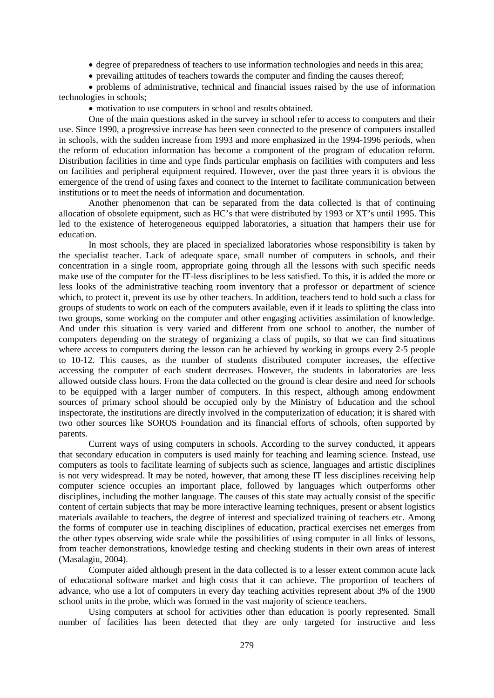- degree of preparedness of teachers to use information technologies and needs in this area;
- prevailing attitudes of teachers towards the computer and finding the causes thereof;

• problems of administrative, technical and financial issues raised by the use of information technologies in schools;

• motivation to use computers in school and results obtained.

One of the main questions asked in the survey in school refer to access to computers and their use. Since 1990, a progressive increase has been seen connected to the presence of computers installed in schools, with the sudden increase from 1993 and more emphasized in the 1994-1996 periods, when the reform of education information has become a component of the program of education reform. Distribution facilities in time and type finds particular emphasis on facilities with computers and less on facilities and peripheral equipment required. However, over the past three years it is obvious the emergence of the trend of using faxes and connect to the Internet to facilitate communication between institutions or to meet the needs of information and documentation.

Another phenomenon that can be separated from the data collected is that of continuing allocation of obsolete equipment, such as HC's that were distributed by 1993 or XT's until 1995. This led to the existence of heterogeneous equipped laboratories, a situation that hampers their use for education.

In most schools, they are placed in specialized laboratories whose responsibility is taken by the specialist teacher. Lack of adequate space, small number of computers in schools, and their concentration in a single room, appropriate going through all the lessons with such specific needs make use of the computer for the IT-less disciplines to be less satisfied. To this, it is added the more or less looks of the administrative teaching room inventory that a professor or department of science which, to protect it, prevent its use by other teachers. In addition, teachers tend to hold such a class for groups of students to work on each of the computers available, even if it leads to splitting the class into two groups, some working on the computer and other engaging activities assimilation of knowledge. And under this situation is very varied and different from one school to another, the number of computers depending on the strategy of organizing a class of pupils, so that we can find situations where access to computers during the lesson can be achieved by working in groups every 2-5 people to 10-12. This causes, as the number of students distributed computer increases, the effective accessing the computer of each student decreases. However, the students in laboratories are less allowed outside class hours. From the data collected on the ground is clear desire and need for schools to be equipped with a larger number of computers. In this respect, although among endowment sources of primary school should be occupied only by the Ministry of Education and the school inspectorate, the institutions are directly involved in the computerization of education; it is shared with two other sources like SOROS Foundation and its financial efforts of schools, often supported by parents.

Current ways of using computers in schools. According to the survey conducted, it appears that secondary education in computers is used mainly for teaching and learning science. Instead, use computers as tools to facilitate learning of subjects such as science, languages and artistic disciplines is not very widespread. It may be noted, however, that among these IT less disciplines receiving help computer science occupies an important place, followed by languages which outperforms other disciplines, including the mother language. The causes of this state may actually consist of the specific content of certain subjects that may be more interactive learning techniques, present or absent logistics materials available to teachers, the degree of interest and specialized training of teachers etc. Among the forms of computer use in teaching disciplines of education, practical exercises net emerges from the other types observing wide scale while the possibilities of using computer in all links of lessons, from teacher demonstrations, knowledge testing and checking students in their own areas of interest (Masalagiu, 2004).

Computer aided although present in the data collected is to a lesser extent common acute lack of educational software market and high costs that it can achieve. The proportion of teachers of advance, who use a lot of computers in every day teaching activities represent about 3% of the 1900 school units in the probe, which was formed in the vast majority of science teachers.

Using computers at school for activities other than education is poorly represented. Small number of facilities has been detected that they are only targeted for instructive and less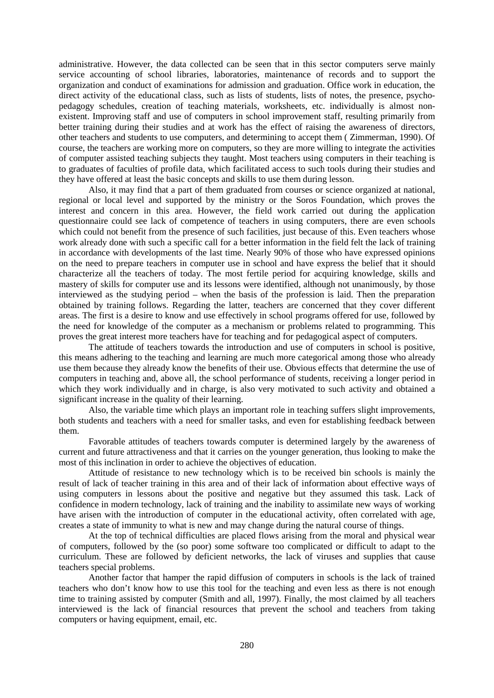administrative. However, the data collected can be seen that in this sector computers serve mainly service accounting of school libraries, laboratories, maintenance of records and to support the organization and conduct of examinations for admission and graduation. Office work in education, the direct activity of the educational class, such as lists of students, lists of notes, the presence, psychopedagogy schedules, creation of teaching materials, worksheets, etc. individually is almost nonexistent. Improving staff and use of computers in school improvement staff, resulting primarily from better training during their studies and at work has the effect of raising the awareness of directors, other teachers and students to use computers, and determining to accept them ( Zimmerman, 1990). Of course, the teachers are working more on computers, so they are more willing to integrate the activities of computer assisted teaching subjects they taught. Most teachers using computers in their teaching is to graduates of faculties of profile data, which facilitated access to such tools during their studies and they have offered at least the basic concepts and skills to use them during lesson.

Also, it may find that a part of them graduated from courses or science organized at national, regional or local level and supported by the ministry or the Soros Foundation, which proves the interest and concern in this area. However, the field work carried out during the application questionnaire could see lack of competence of teachers in using computers, there are even schools which could not benefit from the presence of such facilities, just because of this. Even teachers whose work already done with such a specific call for a better information in the field felt the lack of training in accordance with developments of the last time. Nearly 90% of those who have expressed opinions on the need to prepare teachers in computer use in school and have express the belief that it should characterize all the teachers of today. The most fertile period for acquiring knowledge, skills and mastery of skills for computer use and its lessons were identified, although not unanimously, by those interviewed as the studying period – when the basis of the profession is laid. Then the preparation obtained by training follows. Regarding the latter, teachers are concerned that they cover different areas. The first is a desire to know and use effectively in school programs offered for use, followed by the need for knowledge of the computer as a mechanism or problems related to programming. This proves the great interest more teachers have for teaching and for pedagogical aspect of computers.

The attitude of teachers towards the introduction and use of computers in school is positive, this means adhering to the teaching and learning are much more categorical among those who already use them because they already know the benefits of their use. Obvious effects that determine the use of computers in teaching and, above all, the school performance of students, receiving a longer period in which they work individually and in charge, is also very motivated to such activity and obtained a significant increase in the quality of their learning.

Also, the variable time which plays an important role in teaching suffers slight improvements, both students and teachers with a need for smaller tasks, and even for establishing feedback between them.

Favorable attitudes of teachers towards computer is determined largely by the awareness of current and future attractiveness and that it carries on the younger generation, thus looking to make the most of this inclination in order to achieve the objectives of education.

Attitude of resistance to new technology which is to be received bin schools is mainly the result of lack of teacher training in this area and of their lack of information about effective ways of using computers in lessons about the positive and negative but they assumed this task. Lack of confidence in modern technology, lack of training and the inability to assimilate new ways of working have arisen with the introduction of computer in the educational activity, often correlated with age, creates a state of immunity to what is new and may change during the natural course of things.

At the top of technical difficulties are placed flows arising from the moral and physical wear of computers, followed by the (so poor) some software too complicated or difficult to adapt to the curriculum. These are followed by deficient networks, the lack of viruses and supplies that cause teachers special problems.

Another factor that hamper the rapid diffusion of computers in schools is the lack of trained teachers who don't know how to use this tool for the teaching and even less as there is not enough time to training assisted by computer (Smith and all, 1997). Finally, the most claimed by all teachers interviewed is the lack of financial resources that prevent the school and teachers from taking computers or having equipment, email, etc.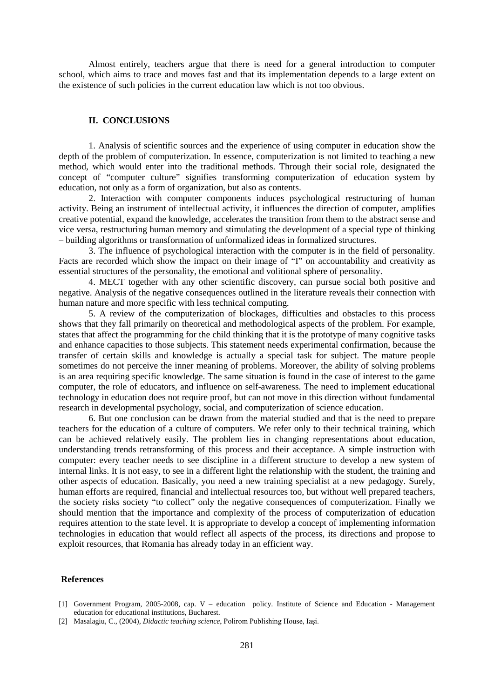Almost entirely, teachers argue that there is need for a general introduction to computer school, which aims to trace and moves fast and that its implementation depends to a large extent on the existence of such policies in the current education law which is not too obvious.

### **II. .CONCLUSIONS**

1. Analysis of scientific sources and the experience of using computer in education show the depth of the problem of computerization. In essence, computerization is not limited to teaching a new method, which would enter into the traditional methods. Through their social role, designated the concept of "computer culture" signifies transforming computerization of education system by education, not only as a form of organization, but also as contents.

2. Interaction with computer components induces psychological restructuring of human activity. Being an instrument of intellectual activity, it influences the direction of computer, amplifies creative potential, expand the knowledge, accelerates the transition from them to the abstract sense and vice versa, restructuring human memory and stimulating the development of a special type of thinking – building algorithms or transformation of unformalized ideas in formalized structures.

3. The influence of psychological interaction with the computer is in the field of personality. Facts are recorded which show the impact on their image of "I" on accountability and creativity as essential structures of the personality, the emotional and volitional sphere of personality.

4. MECT together with any other scientific discovery, can pursue social both positive and negative. Analysis of the negative consequences outlined in the literature reveals their connection with human nature and more specific with less technical computing.

5. A review of the computerization of blockages, difficulties and obstacles to this process shows that they fall primarily on theoretical and methodological aspects of the problem. For example, states that affect the programming for the child thinking that it is the prototype of many cognitive tasks and enhance capacities to those subjects. This statement needs experimental confirmation, because the transfer of certain skills and knowledge is actually a special task for subject. The mature people sometimes do not perceive the inner meaning of problems. Moreover, the ability of solving problems is an area requiring specific knowledge. The same situation is found in the case of interest to the game computer, the role of educators, and influence on self-awareness. The need to implement educational technology in education does not require proof, but can not move in this direction without fundamental research in developmental psychology, social, and computerization of science education.

6. But one conclusion can be drawn from the material studied and that is the need to prepare teachers for the education of a culture of computers. We refer only to their technical training, which can be achieved relatively easily. The problem lies in changing representations about education, understanding trends retransforming of this process and their acceptance. A simple instruction with computer: every teacher needs to see discipline in a different structure to develop a new system of internal links. It is not easy, to see in a different light the relationship with the student, the training and other aspects of education. Basically, you need a new training specialist at a new pedagogy. Surely, human efforts are required, financial and intellectual resources too, but without well prepared teachers, the society risks society "to collect" only the negative consequences of computerization. Finally we should mention that the importance and complexity of the process of computerization of education requires attention to the state level. It is appropriate to develop a concept of implementing information technologies in education that would reflect all aspects of the process, its directions and propose to exploit resources, that Romania has already today in an efficient way.

#### **References**

[2] Masalagiu, C., (2004), *Didactic teaching science*, Polirom Publishing House, Iaşi.

<sup>[1]</sup> Government Program, 2005-2008, cap. V – education policy. Institute of Science and Education - Management education for educational institutions, Bucharest.